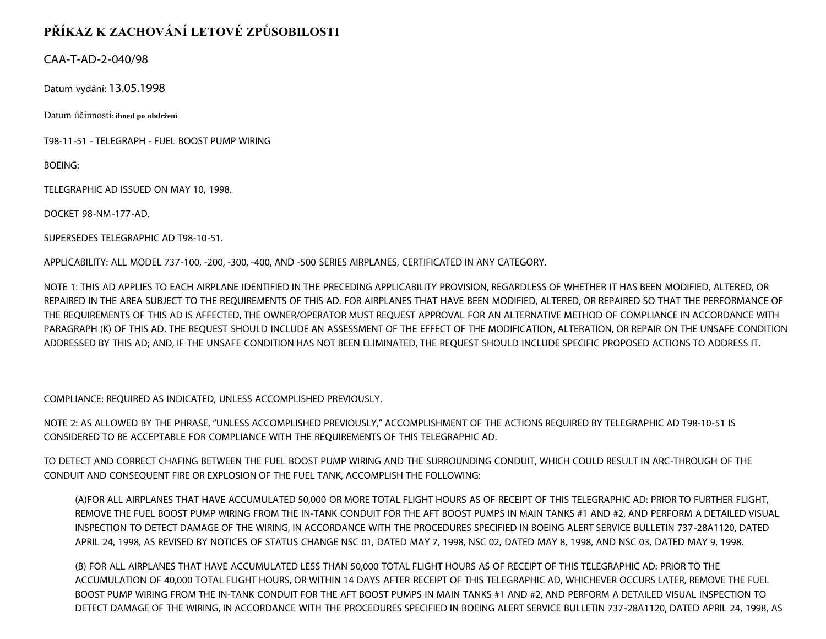## **PŘÍKAZ K ZACHOVÁNÍ LETOVÉ ZPŮSOBILOSTI**

## CAA-T-AD-2-040/98

Datum vydání: 13.05.1998

Datum účinnosti: **ihned po obdržení**

T98-11-51 - TELEGRAPH - FUEL BOOST PUMP WIRING

BOEING:

TELEGRAPHIC AD ISSUED ON MAY 10, 1998.

DOCKET 98-NM-177-AD.

SUPERSEDES TELEGRAPHIC AD T98-10-51.

APPLICABILITY: ALL MODEL 737-100, -200, -300, -400, AND -500 SERIES AIRPLANES, CERTIFICATED IN ANY CATEGORY.

NOTE 1: THIS AD APPLIES TO EACH AIRPLANE IDENTIFIED IN THE PRECEDING APPLICABILITY PROVISION, REGARDLESS OF WHETHER IT HAS BEEN MODIFIED, ALTERED, OR REPAIRED IN THE AREA SUBJECT TO THE REQUIREMENTS OF THIS AD. FOR AIRPLANES THAT HAVE BEEN MODIFIED, ALTERED, OR REPAIRED SO THAT THE PERFORMANCE OF THE REQUIREMENTS OF THIS AD IS AFFECTED, THE OWNER/OPERATOR MUST REQUEST APPROVAL FOR AN ALTERNATIVE METHOD OF COMPLIANCE IN ACCORDANCE WITH PARAGRAPH (K) OF THIS AD. THE REQUEST SHOULD INCLUDE AN ASSESSMENT OF THE EFFECT OF THE MODIFICATION, ALTERATION, OR REPAIR ON THE UNSAFE CONDITION ADDRESSED BY THIS AD; AND, IF THE UNSAFE CONDITION HAS NOT BEEN ELIMINATED, THE REQUEST SHOULD INCLUDE SPECIFIC PROPOSED ACTIONS TO ADDRESS IT.

COMPLIANCE: REQUIRED AS INDICATED, UNLESS ACCOMPLISHED PREVIOUSLY.

NOTE 2: AS ALLOWED BY THE PHRASE, "UNLESS ACCOMPLISHED PREVIOUSLY," ACCOMPLISHMENT OF THE ACTIONS REQUIRED BY TELEGRAPHIC AD T98-10-51 IS CONSIDERED TO BE ACCEPTABLE FOR COMPLIANCE WITH THE REQUIREMENTS OF THIS TELEGRAPHIC AD.

TO DETECT AND CORRECT CHAFING BETWEEN THE FUEL BOOST PUMP WIRING AND THE SURROUNDING CONDUIT, WHICH COULD RESULT IN ARC-THROUGH OF THE CONDUIT AND CONSEQUENT FIRE OR EXPLOSION OF THE FUEL TANK, ACCOMPLISH THE FOLLOWING:

(A)FOR ALL AIRPLANES THAT HAVE ACCUMULATED 50,000 OR MORE TOTAL FLIGHT HOURS AS OF RECEIPT OF THIS TELEGRAPHIC AD: PRIOR TO FURTHER FLIGHT, REMOVE THE FUEL BOOST PUMP WIRING FROM THE IN-TANK CONDUIT FOR THE AFT BOOST PUMPS IN MAIN TANKS #1 AND #2, AND PERFORM A DETAILED VISUAL INSPECTION TO DETECT DAMAGE OF THE WIRING, IN ACCORDANCE WITH THE PROCEDURES SPECIFIED IN BOEING ALERT SERVICE BULLETIN 737-28A1120, DATED APRIL 24, 1998, AS REVISED BY NOTICES OF STATUS CHANGE NSC 01, DATED MAY 7, 1998, NSC 02, DATED MAY 8, 1998, AND NSC 03, DATED MAY 9, 1998.

(B) FOR ALL AIRPLANES THAT HAVE ACCUMULATED LESS THAN 50,000 TOTAL FLIGHT HOURS AS OF RECEIPT OF THIS TELEGRAPHIC AD: PRIOR TO THE ACCUMULATION OF 40,000 TOTAL FLIGHT HOURS, OR WITHIN 14 DAYS AFTER RECEIPT OF THIS TELEGRAPHIC AD, WHICHEVER OCCURS LATER, REMOVE THE FUEL BOOST PUMP WIRING FROM THE IN-TANK CONDUIT FOR THE AFT BOOST PUMPS IN MAIN TANKS #1 AND #2, AND PERFORM A DETAILED VISUAL INSPECTION TO DETECT DAMAGE OF THE WIRING, IN ACCORDANCE WITH THE PROCEDURES SPECIFIED IN BOEING ALERT SERVICE BULLETIN 737-28A1120, DATED APRIL 24, 1998, AS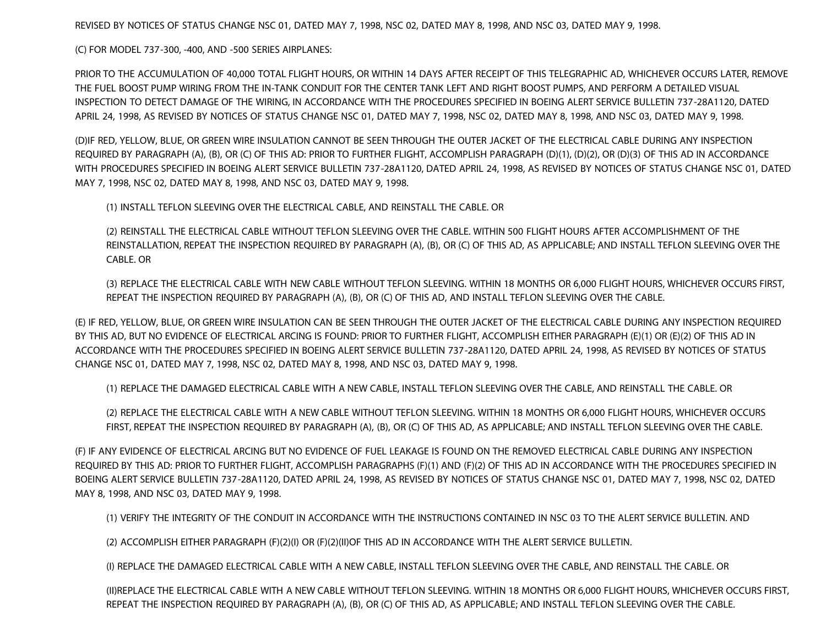REVISED BY NOTICES OF STATUS CHANGE NSC 01, DATED MAY 7, 1998, NSC 02, DATED MAY 8, 1998, AND NSC 03, DATED MAY 9, 1998.

(C) FOR MODEL 737-300, -400, AND -500 SERIES AIRPLANES:

PRIOR TO THE ACCUMULATION OF 40,000 TOTAL FLIGHT HOURS, OR WITHIN 14 DAYS AFTER RECEIPT OF THIS TELEGRAPHIC AD, WHICHEVER OCCURS LATER, REMOVE THE FUEL BOOST PUMP WIRING FROM THE IN-TANK CONDUIT FOR THE CENTER TANK LEFT AND RIGHT BOOST PUMPS, AND PERFORM A DETAILED VISUAL INSPECTION TO DETECT DAMAGE OF THE WIRING, IN ACCORDANCE WITH THE PROCEDURES SPECIFIED IN BOEING ALERT SERVICE BULLETIN 737-28A1120, DATED APRIL 24, 1998, AS REVISED BY NOTICES OF STATUS CHANGE NSC 01, DATED MAY 7, 1998, NSC 02, DATED MAY 8, 1998, AND NSC 03, DATED MAY 9, 1998.

(D)IF RED, YELLOW, BLUE, OR GREEN WIRE INSULATION CANNOT BE SEEN THROUGH THE OUTER JACKET OF THE ELECTRICAL CABLE DURING ANY INSPECTION REQUIRED BY PARAGRAPH (A), (B), OR (C) OF THIS AD: PRIOR TO FURTHER FLIGHT, ACCOMPLISH PARAGRAPH (D)(1), (D)(2), OR (D)(3) OF THIS AD IN ACCORDANCE WITH PROCEDURES SPECIFIED IN BOEING ALERT SERVICE BULLETIN 737-28A1120, DATED APRIL 24, 1998, AS REVISED BY NOTICES OF STATUS CHANGE NSC 01, DATED MAY 7, 1998, NSC 02, DATED MAY 8, 1998, AND NSC 03, DATED MAY 9, 1998.

(1) INSTALL TEFLON SLEEVING OVER THE ELECTRICAL CABLE, AND REINSTALL THE CABLE. OR

(2) REINSTALL THE ELECTRICAL CABLE WITHOUT TEFLON SLEEVING OVER THE CABLE. WITHIN 500 FLIGHT HOURS AFTER ACCOMPLISHMENT OF THE REINSTALLATION, REPEAT THE INSPECTION REQUIRED BY PARAGRAPH (A), (B), OR (C) OF THIS AD, AS APPLICABLE; AND INSTALL TEFLON SLEEVING OVER THE CABLE. OR

(3) REPLACE THE ELECTRICAL CABLE WITH NEW CABLE WITHOUT TEFLON SLEEVING. WITHIN 18 MONTHS OR 6,000 FLIGHT HOURS, WHICHEVER OCCURS FIRST, REPEAT THE INSPECTION REQUIRED BY PARAGRAPH (A), (B), OR (C) OF THIS AD, AND INSTALL TEFLON SLEEVING OVER THE CABLE.

(E) IF RED, YELLOW, BLUE, OR GREEN WIRE INSULATION CAN BE SEEN THROUGH THE OUTER JACKET OF THE ELECTRICAL CABLE DURING ANY INSPECTION REQUIRED BY THIS AD, BUT NO EVIDENCE OF ELECTRICAL ARCING IS FOUND: PRIOR TO FURTHER FLIGHT, ACCOMPLISH EITHER PARAGRAPH (E)(1) OR (E)(2) OF THIS AD IN ACCORDANCE WITH THE PROCEDURES SPECIFIED IN BOEING ALERT SERVICE BULLETIN 737-28A1120, DATED APRIL 24, 1998, AS REVISED BY NOTICES OF STATUS CHANGE NSC 01, DATED MAY 7, 1998, NSC 02, DATED MAY 8, 1998, AND NSC 03, DATED MAY 9, 1998.

(1) REPLACE THE DAMAGED ELECTRICAL CABLE WITH A NEW CABLE, INSTALL TEFLON SLEEVING OVER THE CABLE, AND REINSTALL THE CABLE. OR

(2) REPLACE THE ELECTRICAL CABLE WITH A NEW CABLE WITHOUT TEFLON SLEEVING. WITHIN 18 MONTHS OR 6,000 FLIGHT HOURS, WHICHEVER OCCURS FIRST, REPEAT THE INSPECTION REQUIRED BY PARAGRAPH (A), (B), OR (C) OF THIS AD, AS APPLICABLE; AND INSTALL TEFLON SLEEVING OVER THE CABLE.

(F) IF ANY EVIDENCE OF ELECTRICAL ARCING BUT NO EVIDENCE OF FUEL LEAKAGE IS FOUND ON THE REMOVED ELECTRICAL CABLE DURING ANY INSPECTION REQUIRED BY THIS AD: PRIOR TO FURTHER FLIGHT, ACCOMPLISH PARAGRAPHS (F)(1) AND (F)(2) OF THIS AD IN ACCORDANCE WITH THE PROCEDURES SPECIFIED IN BOEING ALERT SERVICE BULLETIN 737-28A1120, DATED APRIL 24, 1998, AS REVISED BY NOTICES OF STATUS CHANGE NSC 01, DATED MAY 7, 1998, NSC 02, DATED MAY 8, 1998, AND NSC 03, DATED MAY 9, 1998.

(1) VERIFY THE INTEGRITY OF THE CONDUIT IN ACCORDANCE WITH THE INSTRUCTIONS CONTAINED IN NSC 03 TO THE ALERT SERVICE BULLETIN. AND

(2) ACCOMPLISH EITHER PARAGRAPH (F)(2)(I) OR (F)(2)(II)OF THIS AD IN ACCORDANCE WITH THE ALERT SERVICE BULLETIN.

(I) REPLACE THE DAMAGED ELECTRICAL CABLE WITH A NEW CABLE, INSTALL TEFLON SLEEVING OVER THE CABLE, AND REINSTALL THE CABLE. OR

(II)REPLACE THE ELECTRICAL CABLE WITH A NEW CABLE WITHOUT TEFLON SLEEVING. WITHIN 18 MONTHS OR 6,000 FLIGHT HOURS, WHICHEVER OCCURS FIRST, REPEAT THE INSPECTION REQUIRED BY PARAGRAPH (A), (B), OR (C) OF THIS AD, AS APPLICABLE; AND INSTALL TEFLON SLEEVING OVER THE CABLE.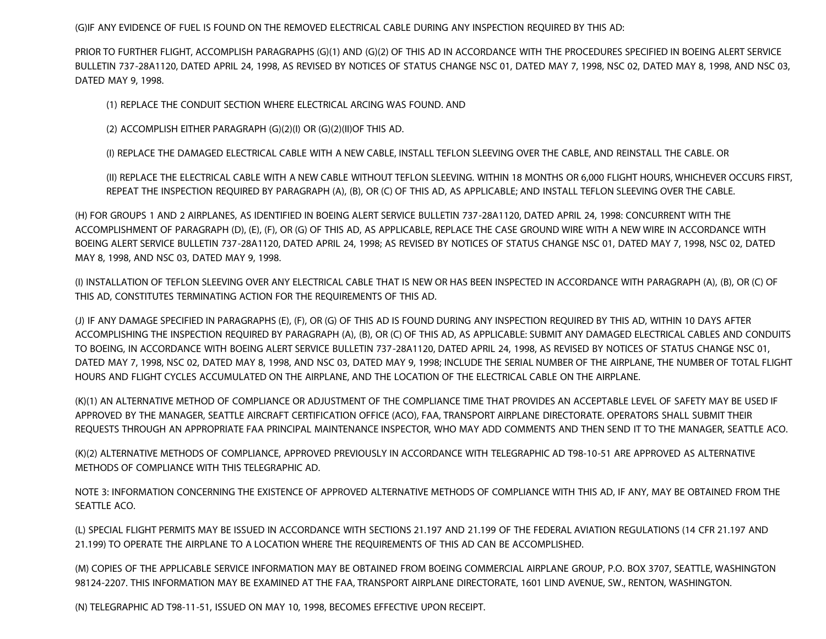(G)IF ANY EVIDENCE OF FUEL IS FOUND ON THE REMOVED ELECTRICAL CABLE DURING ANY INSPECTION REQUIRED BY THIS AD:

PRIOR TO FURTHER FLIGHT, ACCOMPLISH PARAGRAPHS (G)(1) AND (G)(2) OF THIS AD IN ACCORDANCE WITH THE PROCEDURES SPECIFIED IN BOEING ALERT SERVICE BULLETIN 737-28A1120, DATED APRIL 24, 1998, AS REVISED BY NOTICES OF STATUS CHANGE NSC 01, DATED MAY 7, 1998, NSC 02, DATED MAY 8, 1998, AND NSC 03, DATED MAY 9, 1998.

(1) REPLACE THE CONDUIT SECTION WHERE ELECTRICAL ARCING WAS FOUND. AND

(2) ACCOMPLISH EITHER PARAGRAPH (G)(2)(I) OR (G)(2)(II)OF THIS AD.

(I) REPLACE THE DAMAGED ELECTRICAL CABLE WITH A NEW CABLE, INSTALL TEFLON SLEEVING OVER THE CABLE, AND REINSTALL THE CABLE. OR

(II) REPLACE THE ELECTRICAL CABLE WITH A NEW CABLE WITHOUT TEFLON SLEEVING. WITHIN 18 MONTHS OR 6,000 FLIGHT HOURS, WHICHEVER OCCURS FIRST, REPEAT THE INSPECTION REQUIRED BY PARAGRAPH (A), (B), OR (C) OF THIS AD, AS APPLICABLE; AND INSTALL TEFLON SLEEVING OVER THE CABLE.

(H) FOR GROUPS 1 AND 2 AIRPLANES, AS IDENTIFIED IN BOEING ALERT SERVICE BULLETIN 737-28A1120, DATED APRIL 24, 1998: CONCURRENT WITH THE ACCOMPLISHMENT OF PARAGRAPH (D), (E), (F), OR (G) OF THIS AD, AS APPLICABLE, REPLACE THE CASE GROUND WIRE WITH A NEW WIRE IN ACCORDANCE WITH BOEING ALERT SERVICE BULLETIN 737-28A1120, DATED APRIL 24, 1998; AS REVISED BY NOTICES OF STATUS CHANGE NSC 01, DATED MAY 7, 1998, NSC 02, DATED MAY 8, 1998, AND NSC 03, DATED MAY 9, 1998.

(I) INSTALLATION OF TEFLON SLEEVING OVER ANY ELECTRICAL CABLE THAT IS NEW OR HAS BEEN INSPECTED IN ACCORDANCE WITH PARAGRAPH (A), (B), OR (C) OF THIS AD, CONSTITUTES TERMINATING ACTION FOR THE REQUIREMENTS OF THIS AD.

(J) IF ANY DAMAGE SPECIFIED IN PARAGRAPHS (E), (F), OR (G) OF THIS AD IS FOUND DURING ANY INSPECTION REQUIRED BY THIS AD, WITHIN 10 DAYS AFTER ACCOMPLISHING THE INSPECTION REQUIRED BY PARAGRAPH (A), (B), OR (C) OF THIS AD, AS APPLICABLE: SUBMIT ANY DAMAGED ELECTRICAL CABLES AND CONDUITS TO BOEING, IN ACCORDANCE WITH BOEING ALERT SERVICE BULLETIN 737-28A1120, DATED APRIL 24, 1998, AS REVISED BY NOTICES OF STATUS CHANGE NSC 01, DATED MAY 7, 1998, NSC 02, DATED MAY 8, 1998, AND NSC 03, DATED MAY 9, 1998; INCLUDE THE SERIAL NUMBER OF THE AIRPLANE, THE NUMBER OF TOTAL FLIGHT HOURS AND FLIGHT CYCLES ACCUMULATED ON THE AIRPLANE, AND THE LOCATION OF THE ELECTRICAL CABLE ON THE AIRPLANE.

(K)(1) AN ALTERNATIVE METHOD OF COMPLIANCE OR ADJUSTMENT OF THE COMPLIANCE TIME THAT PROVIDES AN ACCEPTABLE LEVEL OF SAFETY MAY BE USED IF APPROVED BY THE MANAGER, SEATTLE AIRCRAFT CERTIFICATION OFFICE (ACO), FAA, TRANSPORT AIRPLANE DIRECTORATE. OPERATORS SHALL SUBMIT THEIR REQUESTS THROUGH AN APPROPRIATE FAA PRINCIPAL MAINTENANCE INSPECTOR, WHO MAY ADD COMMENTS AND THEN SEND IT TO THE MANAGER, SEATTLE ACO.

(K)(2) ALTERNATIVE METHODS OF COMPLIANCE, APPROVED PREVIOUSLY IN ACCORDANCE WITH TELEGRAPHIC AD T98-10-51 ARE APPROVED AS ALTERNATIVE METHODS OF COMPLIANCE WITH THIS TELEGRAPHIC AD.

NOTE 3: INFORMATION CONCERNING THE EXISTENCE OF APPROVED ALTERNATIVE METHODS OF COMPLIANCE WITH THIS AD, IF ANY, MAY BE OBTAINED FROM THE SEATTLE ACO.

(L) SPECIAL FLIGHT PERMITS MAY BE ISSUED IN ACCORDANCE WITH SECTIONS 21.197 AND 21.199 OF THE FEDERAL AVIATION REGULATIONS (14 CFR 21.197 AND 21.199) TO OPERATE THE AIRPLANE TO A LOCATION WHERE THE REQUIREMENTS OF THIS AD CAN BE ACCOMPLISHED.

(M) COPIES OF THE APPLICABLE SERVICE INFORMATION MAY BE OBTAINED FROM BOEING COMMERCIAL AIRPLANE GROUP, P.O. BOX 3707, SEATTLE, WASHINGTON 98124-2207. THIS INFORMATION MAY BE EXAMINED AT THE FAA, TRANSPORT AIRPLANE DIRECTORATE, 1601 LIND AVENUE, SW., RENTON, WASHINGTON.

(N) TELEGRAPHIC AD T98-11-51, ISSUED ON MAY 10, 1998, BECOMES EFFECTIVE UPON RECEIPT.